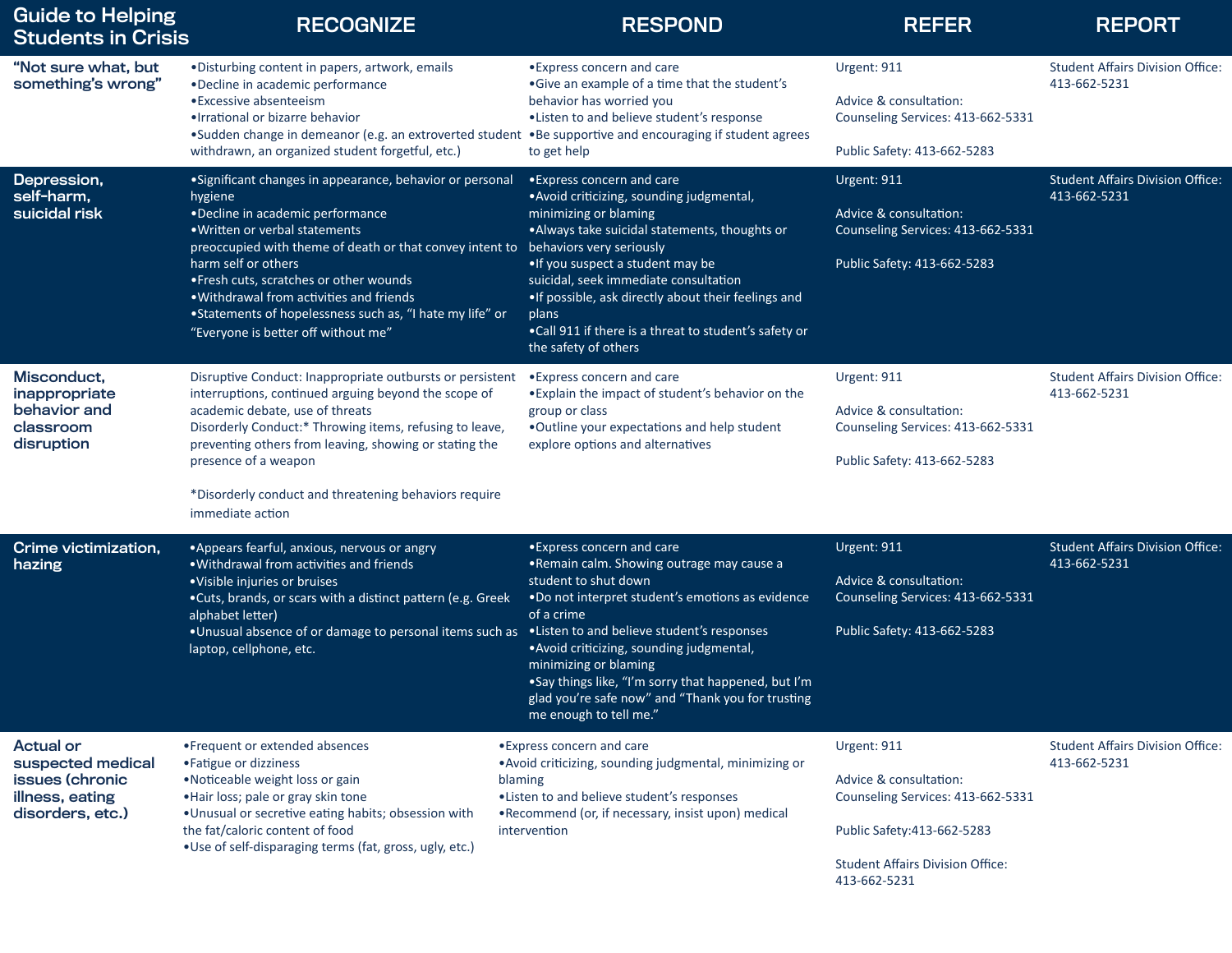| <b>Guide to Helping</b><br><b>Students in Crisis</b>                                            | <b>RECOGNIZE</b>                                                                                                                                                                                                                                                                                                                                                                                                         | <b>RESPOND</b>                                                                                                                                                                                                                                                                                                                                                                                                               | <b>REFER</b>                                                                                                                                                         | <b>REPORT</b>                                           |
|-------------------------------------------------------------------------------------------------|--------------------------------------------------------------------------------------------------------------------------------------------------------------------------------------------------------------------------------------------------------------------------------------------------------------------------------------------------------------------------------------------------------------------------|------------------------------------------------------------------------------------------------------------------------------------------------------------------------------------------------------------------------------------------------------------------------------------------------------------------------------------------------------------------------------------------------------------------------------|----------------------------------------------------------------------------------------------------------------------------------------------------------------------|---------------------------------------------------------|
| "Not sure what, but<br>something's wrong"                                                       | • Disturbing content in papers, artwork, emails<br>•Decline in academic performance<br>• Excessive absenteeism<br>• Irrational or bizarre behavior<br>•Sudden change in demeanor (e.g. an extroverted student<br>withdrawn, an organized student forgetful, etc.)                                                                                                                                                        | • Express concern and care<br>• Give an example of a time that the student's<br>behavior has worried you<br>•Listen to and believe student's response<br>. Be supportive and encouraging if student agrees<br>to get help                                                                                                                                                                                                    | Urgent: 911<br>Advice & consultation:<br>Counseling Services: 413-662-5331<br>Public Safety: 413-662-5283                                                            | <b>Student Affairs Division Office:</b><br>413-662-5231 |
| Depression,<br>self-harm,<br>suicidal risk                                                      | • Significant changes in appearance, behavior or personal<br>hygiene<br>•Decline in academic performance<br>. Written or verbal statements<br>preoccupied with theme of death or that convey intent to<br>harm self or others<br>• Fresh cuts, scratches or other wounds<br>. Withdrawal from activities and friends<br>• Statements of hopelessness such as, "I hate my life" or<br>"Everyone is better off without me" | • Express concern and care<br>· Avoid criticizing, sounding judgmental,<br>minimizing or blaming<br>. Always take suicidal statements, thoughts or<br>behaviors very seriously<br>• If you suspect a student may be<br>suicidal, seek immediate consultation<br>• If possible, ask directly about their feelings and<br>plans<br>• Call 911 if there is a threat to student's safety or<br>the safety of others              | Urgent: 911<br>Advice & consultation:<br>Counseling Services: 413-662-5331<br>Public Safety: 413-662-5283                                                            | <b>Student Affairs Division Office:</b><br>413-662-5231 |
| Misconduct,<br>inappropriate<br>behavior and<br>classroom<br>disruption                         | Disruptive Conduct: Inappropriate outbursts or persistent<br>interruptions, continued arguing beyond the scope of<br>academic debate, use of threats<br>Disorderly Conduct:* Throwing items, refusing to leave,<br>preventing others from leaving, showing or stating the<br>presence of a weapon<br>*Disorderly conduct and threatening behaviors require<br>immediate action                                           | • Express concern and care<br>• Explain the impact of student's behavior on the<br>group or class<br>. Outline your expectations and help student<br>explore options and alternatives                                                                                                                                                                                                                                        | Urgent: 911<br>Advice & consultation:<br>Counseling Services: 413-662-5331<br>Public Safety: 413-662-5283                                                            | <b>Student Affairs Division Office:</b><br>413-662-5231 |
| Crime victimization,<br>hazing                                                                  | • Appears fearful, anxious, nervous or angry<br>. Withdrawal from activities and friends<br>• Visible injuries or bruises<br>•Cuts, brands, or scars with a distinct pattern (e.g. Greek<br>alphabet letter)<br>. Unusual absence of or damage to personal items such as<br>laptop, cellphone, etc.                                                                                                                      | • Express concern and care<br>.Remain calm. Showing outrage may cause a<br>student to shut down<br>.Do not interpret student's emotions as evidence<br>of a crime<br>• Listen to and believe student's responses<br>• Avoid criticizing, sounding judgmental,<br>minimizing or blaming<br>.Say things like, "I'm sorry that happened, but I'm<br>glad you're safe now" and "Thank you for trusting<br>me enough to tell me." | Urgent: 911<br>Advice & consultation:<br>Counseling Services: 413-662-5331<br>Public Safety: 413-662-5283                                                            | <b>Student Affairs Division Office:</b><br>413-662-5231 |
| <b>Actual or</b><br>suspected medical<br>issues (chronic<br>illness, eating<br>disorders, etc.) | • Frequent or extended absences<br>• Fatigue or dizziness<br>. Noticeable weight loss or gain<br>. Hair loss; pale or gray skin tone<br>. Unusual or secretive eating habits; obsession with<br>the fat/caloric content of food<br>. Use of self-disparaging terms (fat, gross, ugly, etc.)                                                                                                                              | • Express concern and care<br>. Avoid criticizing, sounding judgmental, minimizing or<br>blaming<br>.Listen to and believe student's responses<br>. Recommend (or, if necessary, insist upon) medical<br>intervention                                                                                                                                                                                                        | Urgent: 911<br>Advice & consultation:<br>Counseling Services: 413-662-5331<br>Public Safety: 413-662-5283<br><b>Student Affairs Division Office:</b><br>413-662-5231 | <b>Student Affairs Division Office:</b><br>413-662-5231 |